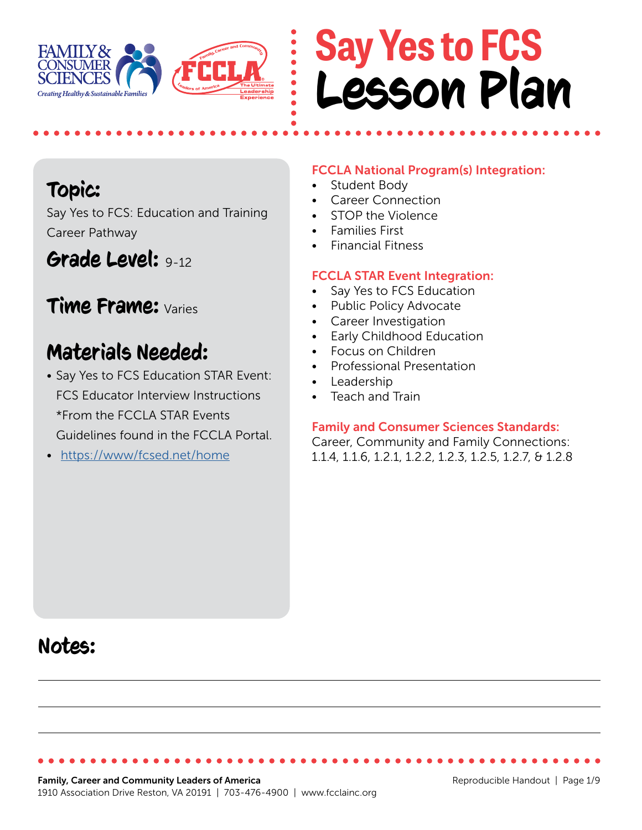

# **Say Yes to FCS** Lesson Plan

## Topic:

Say Yes to FCS: Education and Training Career Pathway

## Grade Level: 9-12

### Time Frame: Varies

## Materials Needed:

- Say Yes to FCS Education STAR Event: FCS Educator Interview Instructions \*From the FCCLA STAR Events Guidelines found in the FCCLA Portal.
- <https://www/fcsed.net/home>

#### FCCLA National Program(s) Integration:

- Student Body
- Career Connection
- STOP the Violence
- Families First
- Financial Fitness

#### FCCLA STAR Event Integration:

- Say Yes to FCS Education
- Public Policy Advocate
- Career Investigation
- Early Childhood Education
- Focus on Children
- Professional Presentation
- Leadership
- Teach and Train

#### Family and Consumer Sciences Standards:

Career, Community and Family Connections: 1.1.4, 1.1.6, 1.2.1, 1.2.2, 1.2.3, 1.2.5, 1.2.7, & 1.2.8

## Notes: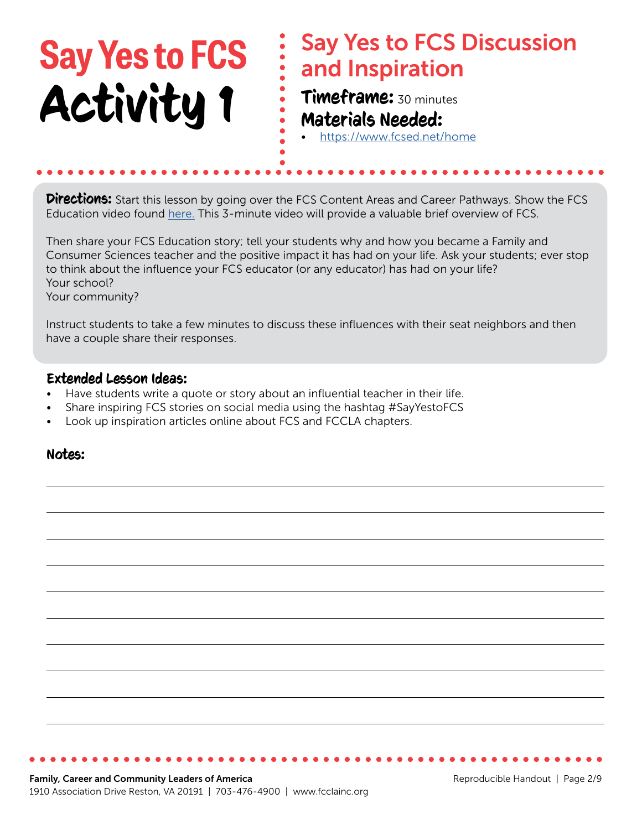#### Say Yes to FCS Discussion and Inspiration Timeframe: 30 minutes Materials Needed: • <https://www.fcsed.net/home> **Say Yes to FCS** Activity 1

**Directions:** Start this lesson by going over the FCS Content Areas and Career Pathways. Show the FCS Education video found [here.](https://www.fcsed.net/fcsed/life-is-lab-long) This 3-minute video will provide a valuable brief overview of FCS.

Then share your FCS Education story; tell your students why and how you became a Family and Consumer Sciences teacher and the positive impact it has had on your life. Ask your students; ever stop to think about the influence your FCS educator (or any educator) has had on your life? Your school?

Your community?

Instruct students to take a few minutes to discuss these influences with their seat neighbors and then have a couple share their responses.

#### Extended Lesson Ideas:

- Have students write a quote or story about an influential teacher in their life.
- Share inspiring FCS stories on social media using the hashtag #SayYestoFCS
- Look up inspiration articles online about FCS and FCCLA chapters.

#### Notes: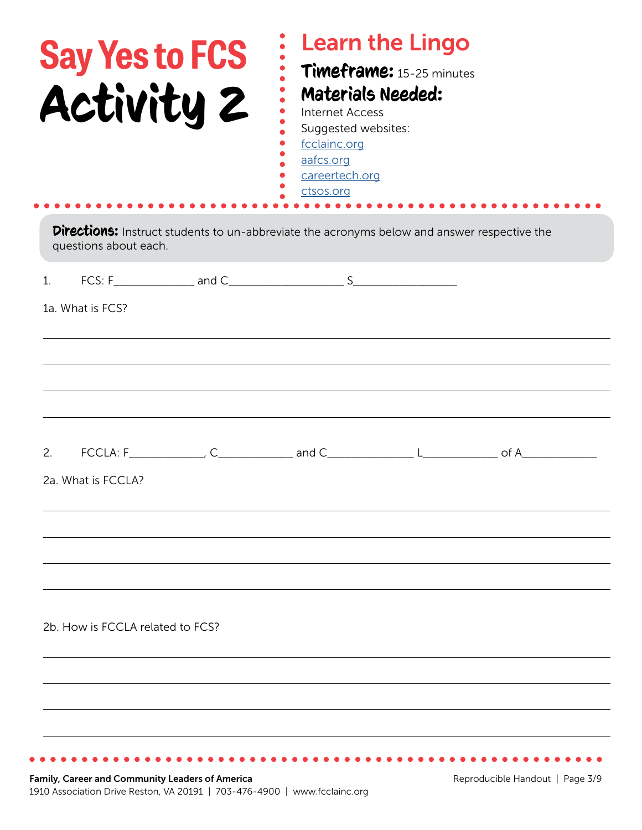| <b>Say Yes to FCS</b><br>Activity 2 | <b>Learn the Lingo</b><br>Timeframe: 15-25 minutes<br><b>Materials Needed:</b><br><b>Internet Access</b><br>Suggested websites:<br>fcclainc.org<br>aafcs.org<br>careertech.org<br>ctsos.org |  |
|-------------------------------------|---------------------------------------------------------------------------------------------------------------------------------------------------------------------------------------------|--|
| questions about each.               | Directions: Instruct students to un-abbreviate the acronyms below and answer respective the                                                                                                 |  |
| 1 <sub>1</sub><br>1a. What is FCS?  |                                                                                                                                                                                             |  |
|                                     |                                                                                                                                                                                             |  |
|                                     |                                                                                                                                                                                             |  |
| 2.                                  | $\begin{array}{ccc}\n\text{FCCLA:} & F \end{array}$ $\begin{array}{ccc}\n\text{C} & \text{and } C \end{array}$ $\begin{array}{ccc}\n\text{L} & \text{d} & \text{d} \\ \end{array}$          |  |
| 2a. What is FCCLA?                  |                                                                                                                                                                                             |  |
|                                     |                                                                                                                                                                                             |  |
|                                     |                                                                                                                                                                                             |  |
| 2b. How is FCCLA related to FCS?    |                                                                                                                                                                                             |  |
|                                     |                                                                                                                                                                                             |  |
|                                     |                                                                                                                                                                                             |  |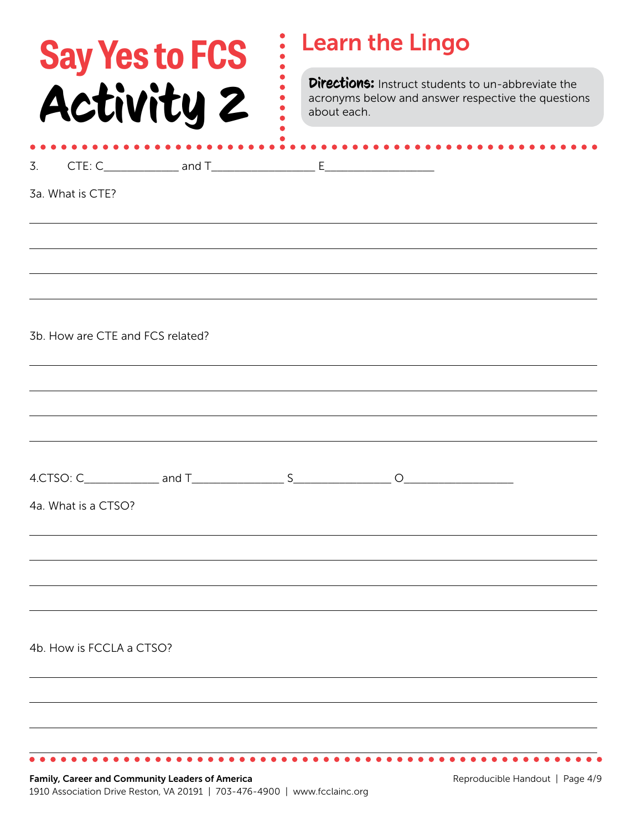| <b>Say Yes to FCS</b>            | <b>Learn the Lingo</b>                                                                                                  |  |
|----------------------------------|-------------------------------------------------------------------------------------------------------------------------|--|
| Activity 2                       | Directions: Instruct students to un-abbreviate the<br>acronyms below and answer respective the questions<br>about each. |  |
|                                  |                                                                                                                         |  |
| 3a. What is CTE?                 |                                                                                                                         |  |
|                                  |                                                                                                                         |  |
|                                  |                                                                                                                         |  |
|                                  |                                                                                                                         |  |
| 3b. How are CTE and FCS related? |                                                                                                                         |  |
|                                  |                                                                                                                         |  |
|                                  |                                                                                                                         |  |
|                                  |                                                                                                                         |  |
| 4a. What is a CTSO?              |                                                                                                                         |  |
|                                  |                                                                                                                         |  |
|                                  |                                                                                                                         |  |
|                                  |                                                                                                                         |  |
| 4b. How is FCCLA a CTSO?         |                                                                                                                         |  |
|                                  |                                                                                                                         |  |
|                                  |                                                                                                                         |  |
|                                  |                                                                                                                         |  |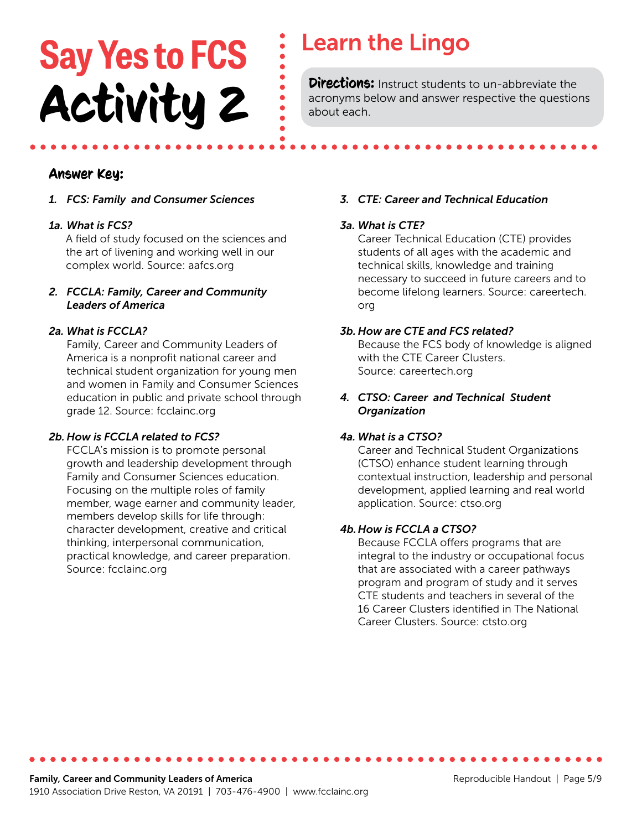# **Say Yes to FCS** : Learn the Lingo **Activity 2** Directions: Instruct students to un-abbreviate the acronyms below and answer respective the question

acronyms below and answer respective the questions about each.

#### Answer Key:

*1. FCS: Family and Consumer Sciences*

#### *1a. What is FCS?*

A field of study focused on the sciences and the art of livening and working well in our complex world. Source: aafcs.org

#### *2. FCCLA: Family, Career and Community Leaders of America*

#### *2a. What is FCCLA?*

 Family, Career and Community Leaders of America is a nonprofit national career and technical student organization for young men and women in Family and Consumer Sciences education in public and private school through grade 12. Source: fcclainc.org

#### *2b. How is FCCLA related to FCS?*

 FCCLA's mission is to promote personal growth and leadership development through Family and Consumer Sciences education. Focusing on the multiple roles of family member, wage earner and community leader, members develop skills for life through: character development, creative and critical thinking, interpersonal communication, practical knowledge, and career preparation. Source: fcclainc.org

#### *3. CTE: Career and Technical Education*

#### *3a. What is CTE?*

 Career Technical Education (CTE) provides students of all ages with the academic and technical skills, knowledge and training necessary to succeed in future careers and to become lifelong learners. Source: careertech. org

#### *3b. How are CTE and FCS related?*

 Because the FCS body of knowledge is aligned with the CTE Career Clusters. Source: careertech.org

#### *4. CTSO: Career and Technical Student Organization*

#### *4a. What is a CTSO?*

 Career and Technical Student Organizations (CTSO) enhance student learning through contextual instruction, leadership and personal development, applied learning and real world application. Source: ctso.org

#### *4b.How is FCCLA a CTSO?*

 Because FCCLA offers programs that are integral to the industry or occupational focus that are associated with a career pathways program and program of study and it serves CTE students and teachers in several of the 16 Career Clusters identified in The National Career Clusters. Source: ctsto.org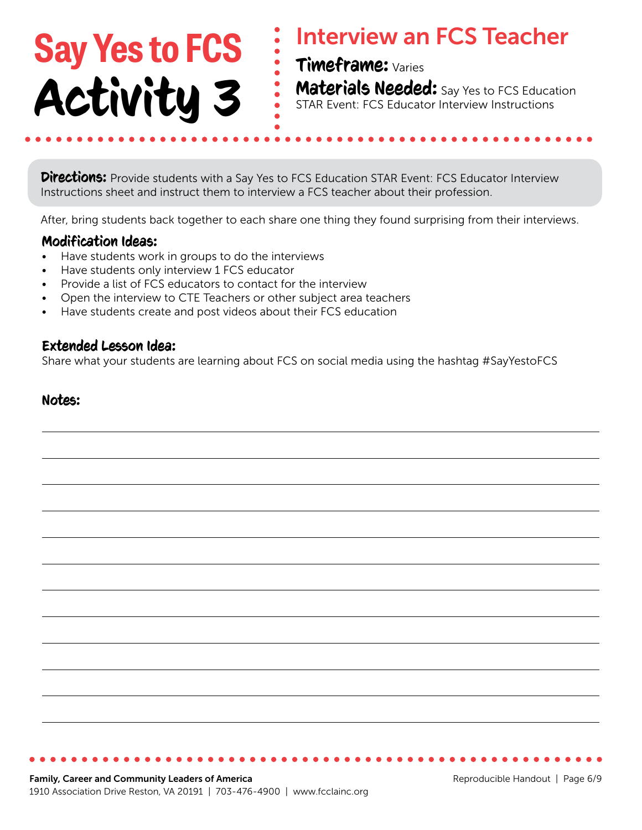# **Say Yes to FCS** Activity 3

## Interview an FCS Teacher

Timeframe: Varies

**Materials Needed:** Say Yes to FCS Education STAR Event: FCS Educator Interview Instructions

**Directions:** Provide students with a Say Yes to FCS Education STAR Event: FCS Educator Interview Instructions sheet and instruct them to interview a FCS teacher about their profession.

After, bring students back together to each share one thing they found surprising from their interviews.

#### Modification Ideas:

- Have students work in groups to do the interviews
- Have students only interview 1 FCS educator
- Provide a list of FCS educators to contact for the interview
- Open the interview to CTE Teachers or other subject area teachers
- Have students create and post videos about their FCS education

#### Extended Lesson Idea:

Share what your students are learning about FCS on social media using the hashtag #SayYestoFCS

#### Notes: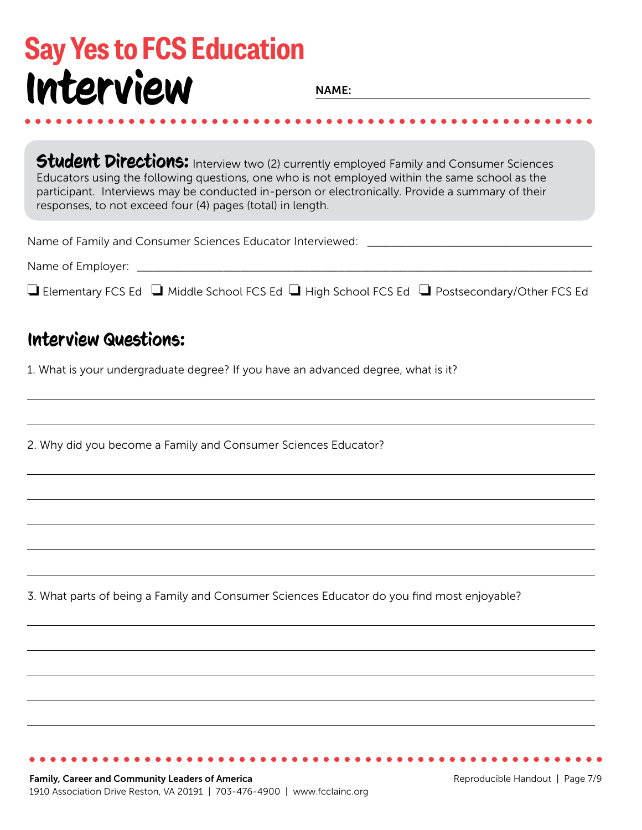## **Say Yes to FCS Education** Interview

**NAME:** 

Student Directions: Interview two (2) currently employed Family and Consumer Sciences Educators using the following questions, one who is not employed within the same school as the participant. Interviews may be conducted in-person or electronically. Provide a summary of their responses, to not exceed four (4) pages (total) in length.

| Name of Family and Consumer Sciences Educator Interviewed: |  |
|------------------------------------------------------------|--|
|                                                            |  |

|  |  |  |  | $\Box$ Elementary FCS Ed $\;\Box$ Middle School FCS Ed $\;\Box$ High School FCS Ed $\;\Box$ Postsecondary/Other FCS Ed |
|--|--|--|--|------------------------------------------------------------------------------------------------------------------------|
|--|--|--|--|------------------------------------------------------------------------------------------------------------------------|

### Interview Questions:

1. What is your undergraduate degree? If you have an advanced degree, what is it?

2. Why did you become a Family and Consumer Sciences Educator?

3. What parts of being a Family and Consumer Sciences Educator do you find most enjoyable?

. . . . . . . . . . . . . . . . . . . .

. . . . . . . . . . . .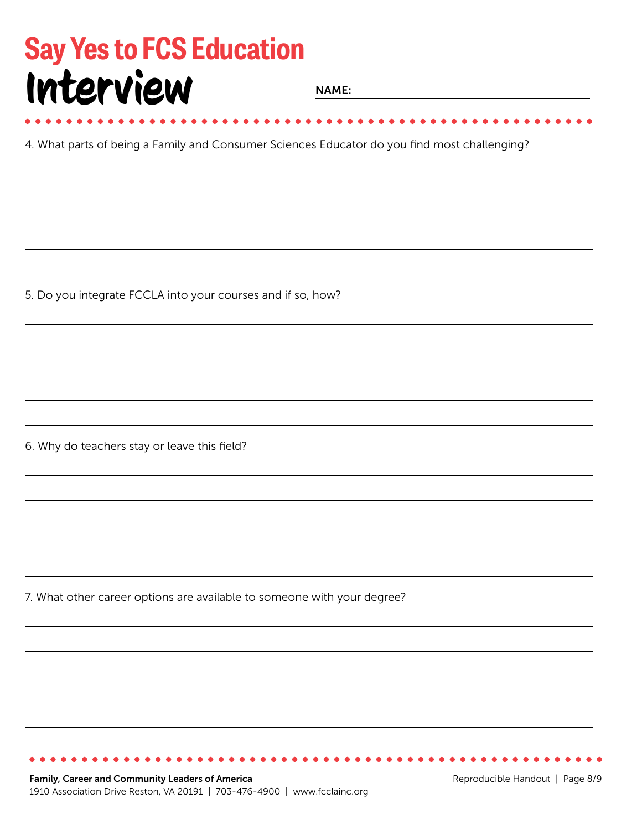## **Say Yes to FCS Education** Interview

**NAME:** 

4. What parts of being a Family and Consumer Sciences Educator do you find most challenging?

5. Do you integrate FCCLA into your courses and if so, how?

6. Why do teachers stay or leave this field?

7. What other career options are available to someone with your degree?

Family, Career and Community Leaders of America 1910 Association Drive Reston, VA 20191 | 703-476-4900 | www.fcclainc.org

Reproducible Handout | Page 8/9

. . . . . . . . . . . . . . . . . . . .